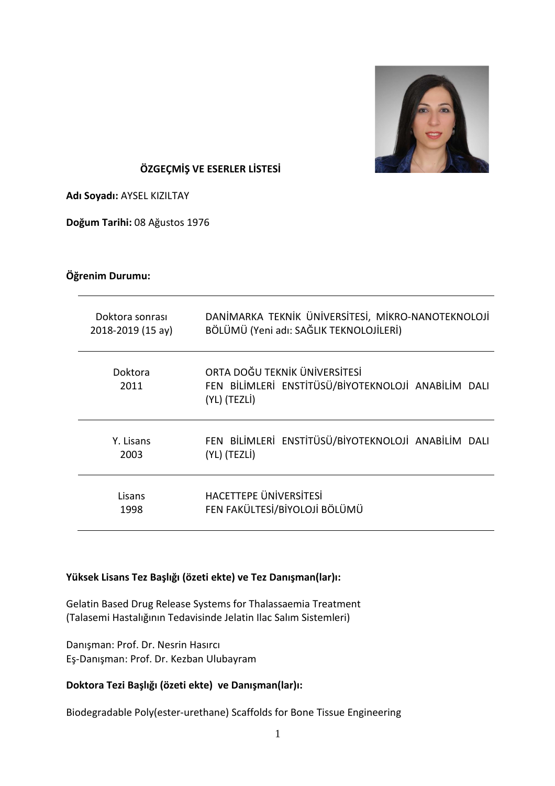

# **ÖZGEÇMİŞ VE ESERLER LİSTESİ**

**Adı Soyadı:** AYSEL KIZILTAY

**Doğum Tarihi:** 08 Ağustos 1976

### **Öğrenim Durumu:**

| Doktora sonrası   | DANİMARKA TEKNİK ÜNİVERSİTESİ, MİKRO-NANOTEKNOLOJİ                                                   |
|-------------------|------------------------------------------------------------------------------------------------------|
| 2018-2019 (15 ay) | BÖLÜMÜ (Yeni adı: SAĞLIK TEKNOLOJİLERİ)                                                              |
| Doktora<br>2011   | ORTA DOĞU TEKNİK ÜNİVERSİTESİ<br>FEN BİLİMLERİ ENSTİTÜSÜ/BİYOTEKNOLOJİ ANABİLİM DALI<br>(YL) (TEZLI) |
| Y. Lisans         | FEN BİLİMLERİ ENSTİTÜSÜ/BİYOTEKNOLOJİ ANABİLİM DALI                                                  |
| 2003              | (YL) (TEZLİ)                                                                                         |
| Lisans            | HACETTEPE ÜNIVERSITESI                                                                               |
| 1998              | FEN FAKÜLTESİ/BİYOLOJİ BÖLÜMÜ                                                                        |

#### **Yüksek Lisans Tez Başlığı (özeti ekte) ve Tez Danışman(lar)ı:**

Gelatin Based Drug Release Systems for Thalassaemia Treatment (Talasemi Hastalığının Tedavisinde Jelatin Ilac Salım Sistemleri)

Danışman: Prof. Dr. Nesrin Hasırcı Eş-Danışman: Prof. Dr. Kezban Ulubayram

# **Doktora Tezi Başlığı (özeti ekte) ve Danışman(lar)ı:**

Biodegradable Poly(ester-urethane) Scaffolds for Bone Tissue Engineering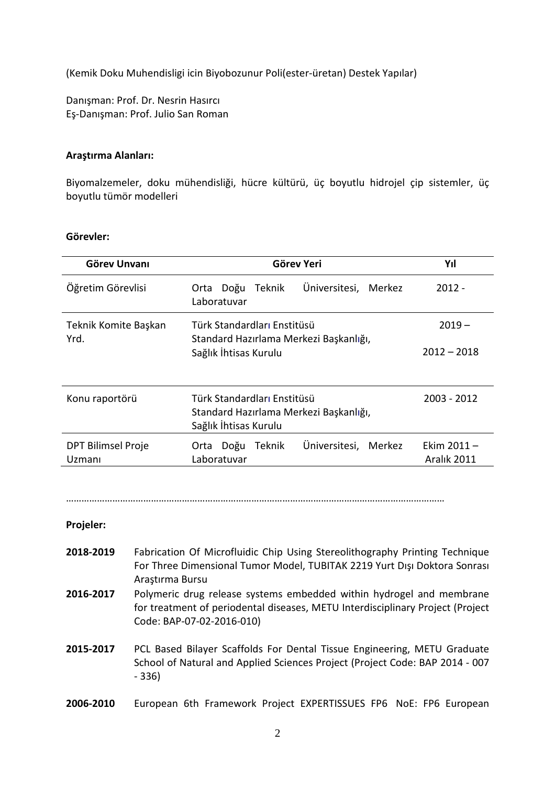(Kemik Doku Muhendisligi icin Biyobozunur Poli(ester-üretan) Destek Yapılar)

Danışman: Prof. Dr. Nesrin Hasırcı Eş-Danışman: Prof. Julio San Roman

#### **Araştırma Alanları:**

Biyomalzemeler, doku mühendisliği, hücre kültürü, üç boyutlu hidrojel çip sistemler, üç boyutlu tümör modelleri

#### **Görevler:**

| <b>Görev Unvanı</b>          | Görev Yeri                                                                     | Yıl           |
|------------------------------|--------------------------------------------------------------------------------|---------------|
| Öğretim Görevlisi            | Üniversitesi, Merkez<br>Teknik<br>Doğu<br>Orta<br>Laboratuvar                  | $2012 -$      |
| Teknik Komite Başkan<br>Yrd. | Türk Standardları Enstitüsü<br>Standard Hazırlama Merkezi Başkanlığı,          | $2019 -$      |
|                              | Sağlık İhtisas Kurulu                                                          | $2012 - 2018$ |
| Konu raportörü               | Türk Standardları Enstitüsü                                                    |               |
|                              | 2003 - 2012<br>Standard Hazırlama Merkezi Başkanlığı,<br>Sağlık İhtisas Kurulu |               |
| <b>DPT Bilimsel Proje</b>    | Üniversitesi,<br>Doğu<br>Teknik<br>Merkez<br>Orta                              | Ekim 2011 –   |
| Uzmanı                       | Laboratuvar                                                                    | Aralık 2011   |

…………………………………………………………………………………………………………………………………

#### **Projeler:**

- **2018-2019** Fabrication Of Microfluidic Chip Using Stereolithography Printing Technique For Three Dimensional Tumor Model, TUBITAK 2219 Yurt Dışı Doktora Sonrası Araştırma Bursu
- **2016-2017** Polymeric drug release systems embedded within hydrogel and membrane for treatment of periodental diseases, METU Interdisciplinary Project (Project Code: BAP-07-02-2016-010)
- **2015-2017** PCL Based Bilayer Scaffolds For Dental Tissue Engineering, METU Graduate School of Natural and Applied Sciences Project (Project Code: BAP 2014 - 007 - 336)
- **2006-2010** European 6th Framework Project EXPERTISSUES FP6 NoE: FP6 European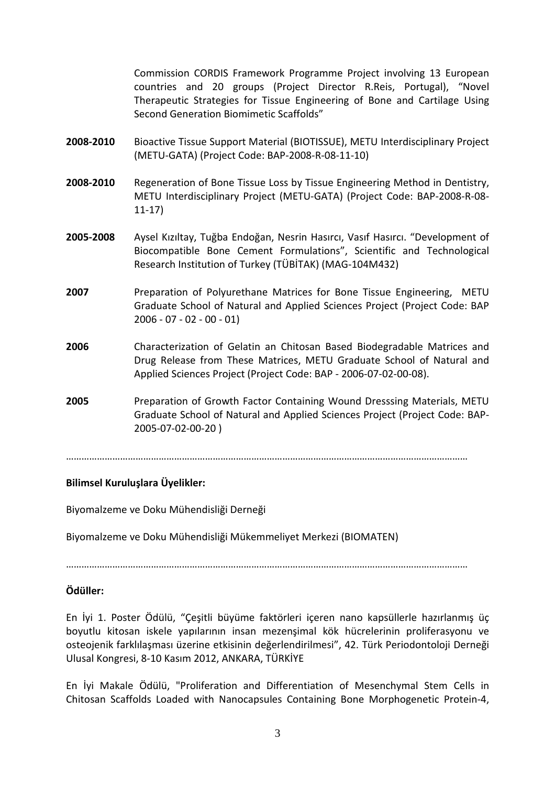Commission CORDIS Framework Programme Project involving 13 European countries and 20 groups (Project Director R.Reis, Portugal), "Novel Therapeutic Strategies for Tissue Engineering of Bone and Cartilage Using Second Generation Biomimetic Scaffolds"

- **2008-2010** Bioactive Tissue Support Material (BIOTISSUE), METU Interdisciplinary Project (METU-GATA) (Project Code: BAP-2008-R-08-11-10)
- **2008-2010** Regeneration of Bone Tissue Loss by Tissue Engineering Method in Dentistry, METU Interdisciplinary Project (METU-GATA) (Project Code: BAP-2008-R-08- 11-17)
- **2005-2008** Aysel Kızıltay, Tuğba Endoğan, Nesrin Hasırcı, Vasıf Hasırcı. "Development of Biocompatible Bone Cement Formulations", Scientific and Technological Research Institution of Turkey (TÜBİTAK) (MAG-104M432)
- **2007** Preparation of Polyurethane Matrices for Bone Tissue Engineering, METU Graduate School of Natural and Applied Sciences Project (Project Code: BAP 2006 - 07 - 02 - 00 - 01)
- **2006** Characterization of Gelatin an Chitosan Based Biodegradable Matrices and Drug Release from These Matrices, METU Graduate School of Natural and Applied Sciences Project (Project Code: BAP - 2006-07-02-00-08).
- **2005** Preparation of Growth Factor Containing Wound Dresssing Materials, METU Graduate School of Natural and Applied Sciences Project (Project Code: BAP-2005-07-02-00-20 )

…………………………………………………………………………………………………………………………………………

# **Bilimsel Kuruluşlara Üyelikler:**

Biyomalzeme ve Doku Mühendisliği Derneği

Biyomalzeme ve Doku Mühendisliği Mükemmeliyet Merkezi (BIOMATEN)

…………………………………………………………………………………………………………………………………………

# **Ödüller:**

En İyi 1. Poster Ödülü, "Çeşitli büyüme faktörleri içeren nano kapsüllerle hazırlanmış üç boyutlu kitosan iskele yapılarının insan mezenşimal kök hücrelerinin proliferasyonu ve osteojenik farklılaşması üzerine etkisinin değerlendirilmesi", 42. Türk Periodontoloji Derneği Ulusal Kongresi, 8-10 Kasım 2012, ANKARA, TÜRKİYE

En İyi Makale Ödülü, "Proliferation and Differentiation of Mesenchymal Stem Cells in Chitosan Scaffolds Loaded with Nanocapsules Containing Bone Morphogenetic Protein-4,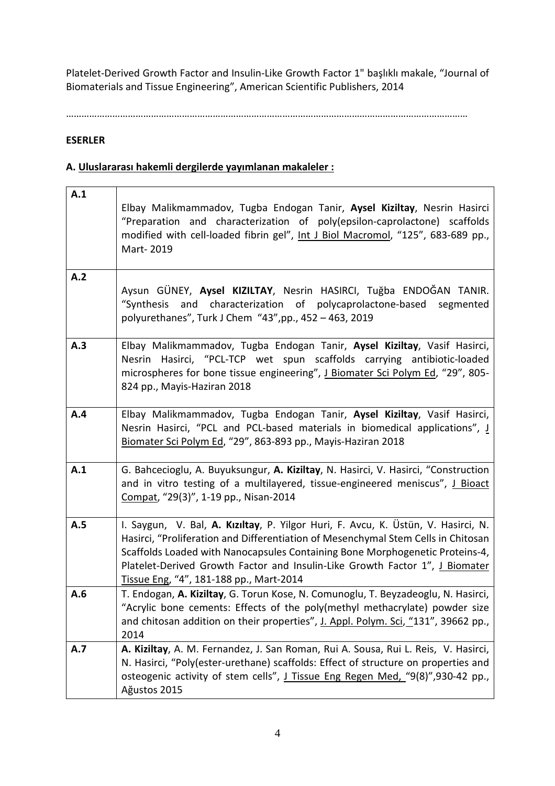Platelet-Derived Growth Factor and Insulin-Like Growth Factor 1" başlıklı makale, "Journal of Biomaterials and Tissue Engineering", American Scientific Publishers, 2014

…………………………………………………………………………………………………………………………………………

# **ESERLER**

# **A. Uluslararası hakemli dergilerde yayımlanan makaleler :**

| A.1 | Elbay Malikmammadov, Tugba Endogan Tanir, Aysel Kiziltay, Nesrin Hasirci<br>"Preparation and characterization of poly(epsilon-caprolactone) scaffolds<br>modified with cell-loaded fibrin gel", Int J Biol Macromol, "125", 683-689 pp.,<br>Mart-2019                                                                                                                             |
|-----|-----------------------------------------------------------------------------------------------------------------------------------------------------------------------------------------------------------------------------------------------------------------------------------------------------------------------------------------------------------------------------------|
| A.2 | Aysun GÜNEY, Aysel KIZILTAY, Nesrin HASIRCI, Tuğba ENDOĞAN TANIR.<br>"Synthesis and characterization of polycaprolactone-based segmented<br>polyurethanes", Turk J Chem "43", pp., 452 - 463, 2019                                                                                                                                                                                |
| A.3 | Elbay Malikmammadov, Tugba Endogan Tanir, Aysel Kiziltay, Vasif Hasirci,<br>Nesrin Hasirci, "PCL-TCP wet spun scaffolds carrying antibiotic-loaded<br>microspheres for bone tissue engineering", J Biomater Sci Polym Ed, "29", 805-<br>824 pp., Mayis-Haziran 2018                                                                                                               |
| A.4 | Elbay Malikmammadov, Tugba Endogan Tanir, Aysel Kiziltay, Vasif Hasirci,<br>Nesrin Hasirci, "PCL and PCL-based materials in biomedical applications", I<br>Biomater Sci Polym Ed, "29", 863-893 pp., Mayis-Haziran 2018                                                                                                                                                           |
| A.1 | G. Bahcecioglu, A. Buyuksungur, A. Kiziltay, N. Hasirci, V. Hasirci, "Construction<br>and in vitro testing of a multilayered, tissue-engineered meniscus", J Bioact<br>Compat, "29(3)", 1-19 pp., Nisan-2014                                                                                                                                                                      |
| A.5 | I. Saygun, V. Bal, A. Kızıltay, P. Yilgor Huri, F. Avcu, K. Üstün, V. Hasirci, N.<br>Hasirci, "Proliferation and Differentiation of Mesenchymal Stem Cells in Chitosan<br>Scaffolds Loaded with Nanocapsules Containing Bone Morphogenetic Proteins-4,<br>Platelet-Derived Growth Factor and Insulin-Like Growth Factor 1", J Biomater<br>Tissue Eng, "4", 181-188 pp., Mart-2014 |
| A.6 | T. Endogan, A. Kiziltay, G. Torun Kose, N. Comunoglu, T. Beyzadeoglu, N. Hasirci,<br>"Acrylic bone cements: Effects of the poly(methyl methacrylate) powder size<br>and chitosan addition on their properties", J. Appl. Polym. Sci, "131", 39662 pp.,<br>2014                                                                                                                    |
| A.7 | A. Kiziltay, A. M. Fernandez, J. San Roman, Rui A. Sousa, Rui L. Reis, V. Hasirci,<br>N. Hasirci, "Poly(ester-urethane) scaffolds: Effect of structure on properties and<br>osteogenic activity of stem cells", J Tissue Eng Regen Med, "9(8)", 930-42 pp.,<br>Ağustos 2015                                                                                                       |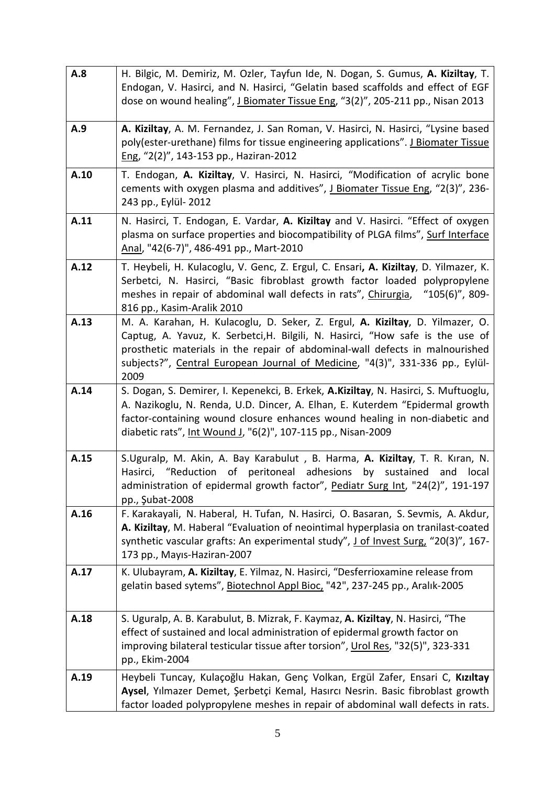| A.8  | H. Bilgic, M. Demiriz, M. Ozler, Tayfun Ide, N. Dogan, S. Gumus, A. Kiziltay, T.<br>Endogan, V. Hasirci, and N. Hasirci, "Gelatin based scaffolds and effect of EGF<br>dose on wound healing", J Biomater Tissue Eng, "3(2)", 205-211 pp., Nisan 2013                                                                                    |
|------|------------------------------------------------------------------------------------------------------------------------------------------------------------------------------------------------------------------------------------------------------------------------------------------------------------------------------------------|
| A.9  | A. Kiziltay, A. M. Fernandez, J. San Roman, V. Hasirci, N. Hasirci, "Lysine based<br>poly(ester-urethane) films for tissue engineering applications". J Biomater Tissue<br>Eng, "2(2)", 143-153 pp., Haziran-2012                                                                                                                        |
| A.10 | T. Endogan, A. Kiziltay, V. Hasirci, N. Hasirci, "Modification of acrylic bone<br>cements with oxygen plasma and additives", J Biomater Tissue Eng, "2(3)", 236-<br>243 pp., Eylül- 2012                                                                                                                                                 |
| A.11 | N. Hasirci, T. Endogan, E. Vardar, A. Kiziltay and V. Hasirci. "Effect of oxygen<br>plasma on surface properties and biocompatibility of PLGA films", Surf Interface<br>Anal, "42(6-7)", 486-491 pp., Mart-2010                                                                                                                          |
| A.12 | T. Heybeli, H. Kulacoglu, V. Genc, Z. Ergul, C. Ensari, A. Kiziltay, D. Yilmazer, K.<br>Serbetci, N. Hasirci, "Basic fibroblast growth factor loaded polypropylene<br>meshes in repair of abdominal wall defects in rats", Chirurgia,<br>$"105(6)"$ , 809-<br>816 pp., Kasim-Aralik 2010                                                 |
| A.13 | M. A. Karahan, H. Kulacoglu, D. Seker, Z. Ergul, A. Kiziltay, D. Yilmazer, O.<br>Captug, A. Yavuz, K. Serbetci, H. Bilgili, N. Hasirci, "How safe is the use of<br>prosthetic materials in the repair of abdominal-wall defects in malnourished<br>subjects?", Central European Journal of Medicine, "4(3)", 331-336 pp., Eylül-<br>2009 |
| A.14 | S. Dogan, S. Demirer, I. Kepenekci, B. Erkek, A.Kiziltay, N. Hasirci, S. Muftuoglu,<br>A. Nazikoglu, N. Renda, U.D. Dincer, A. Elhan, E. Kuterdem "Epidermal growth<br>factor-containing wound closure enhances wound healing in non-diabetic and<br>diabetic rats", Int Wound J, "6(2)", 107-115 pp., Nisan-2009                        |
| A.15 | S.Uguralp, M. Akin, A. Bay Karabulut, B. Harma, A. Kiziltay, T. R. Kıran, N.<br>Hasirci, "Reduction of peritoneal adhesions by sustained and local<br>administration of epidermal growth factor", Pediatr Surg Int, "24(2)", 191-197<br>pp., Şubat-2008                                                                                  |
| A.16 | F. Karakayali, N. Haberal, H. Tufan, N. Hasirci, O. Basaran, S. Sevmis, A. Akdur,<br>A. Kiziltay, M. Haberal "Evaluation of neointimal hyperplasia on tranilast-coated<br>synthetic vascular grafts: An experimental study", J of Invest Surg, "20(3)", 167-<br>173 pp., Mayıs-Haziran-2007                                              |
| A.17 | K. Ulubayram, A. Kiziltay, E. Yilmaz, N. Hasirci, "Desferrioxamine release from<br>gelatin based sytems", Biotechnol Appl Bioc, "42", 237-245 pp., Aralık-2005                                                                                                                                                                           |
| A.18 | S. Uguralp, A. B. Karabulut, B. Mizrak, F. Kaymaz, A. Kiziltay, N. Hasirci, "The<br>effect of sustained and local administration of epidermal growth factor on<br>improving bilateral testicular tissue after torsion", Urol Res, "32(5)", 323-331<br>pp., Ekim-2004                                                                     |
| A.19 | Heybeli Tuncay, Kulaçoğlu Hakan, Genç Volkan, Ergül Zafer, Ensari C, Kızıltay<br>Aysel, Yılmazer Demet, Şerbetçi Kemal, Hasırcı Nesrin. Basic fibroblast growth<br>factor loaded polypropylene meshes in repair of abdominal wall defects in rats.                                                                                       |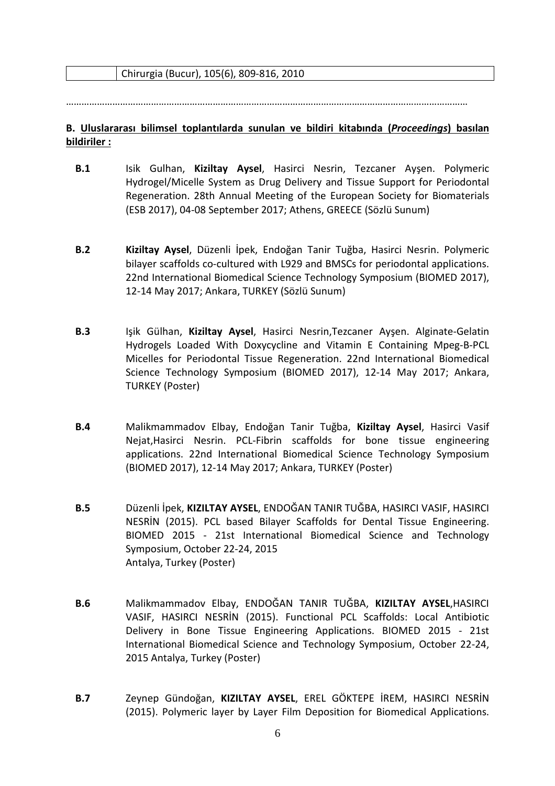Chirurgia (Bucur), 105(6), 809-816, 2010

…………………………………………………………………………………………………………………………………………

### **B. Uluslararası bilimsel toplantılarda sunulan ve bildiri kitabında (***Proceedings***) basılan bildiriler :**

- **B.1** Isik Gulhan, **Kiziltay Aysel**, Hasirci Nesrin, Tezcaner Ayşen. Polymeric Hydrogel/Micelle System as Drug Delivery and Tissue Support for Periodontal Regeneration. 28th Annual Meeting of the European Society for Biomaterials (ESB 2017), 04-08 September 2017; Athens, GREECE (Sözlü Sunum)
- **B.2 Kiziltay Aysel**, Düzenli İpek, Endoğan Tanir Tuğba, Hasirci Nesrin. Polymeric bilayer scaffolds co-cultured with L929 and BMSCs for periodontal applications. 22nd International Biomedical Science Technology Symposium (BIOMED 2017), 12-14 May 2017; Ankara, TURKEY (Sözlü Sunum)
- **B.3** Işik Gülhan, **Kiziltay Aysel**, Hasirci Nesrin,Tezcaner Ayşen. Alginate-Gelatin Hydrogels Loaded With Doxycycline and Vitamin E Containing Mpeg-B-PCL Micelles for Periodontal Tissue Regeneration. 22nd International Biomedical Science Technology Symposium (BIOMED 2017), 12-14 May 2017; Ankara, TURKEY (Poster)
- **B.4** Malikmammadov Elbay, Endoğan Tanir Tuğba, **Kiziltay Aysel**, Hasirci Vasif Nejat,Hasirci Nesrin. PCL-Fibrin scaffolds for bone tissue engineering applications. 22nd International Biomedical Science Technology Symposium (BIOMED 2017), 12-14 May 2017; Ankara, TURKEY (Poster)
- **B.5** Düzenli İpek, **KIZILTAY AYSEL**, ENDOĞAN TANIR TUĞBA, HASIRCI VASIF, HASIRCI NESRİN (2015). PCL based Bilayer Scaffolds for Dental Tissue Engineering. BIOMED 2015 - 21st International Biomedical Science and Technology Symposium, October 22-24, 2015 Antalya, Turkey (Poster)
- **B.6** Malikmammadov Elbay, ENDOĞAN TANIR TUĞBA, **KIZILTAY AYSEL**,HASIRCI VASIF, HASIRCI NESRİN (2015). Functional PCL Scaffolds: Local Antibiotic Delivery in Bone Tissue Engineering Applications. BIOMED 2015 - 21st International Biomedical Science and Technology Symposium, October 22-24, 2015 Antalya, Turkey (Poster)
- **B.7** Zeynep Gündoğan, **KIZILTAY AYSEL**, EREL GÖKTEPE İREM, HASIRCI NESRİN (2015). Polymeric layer by Layer Film Deposition for Biomedical Applications.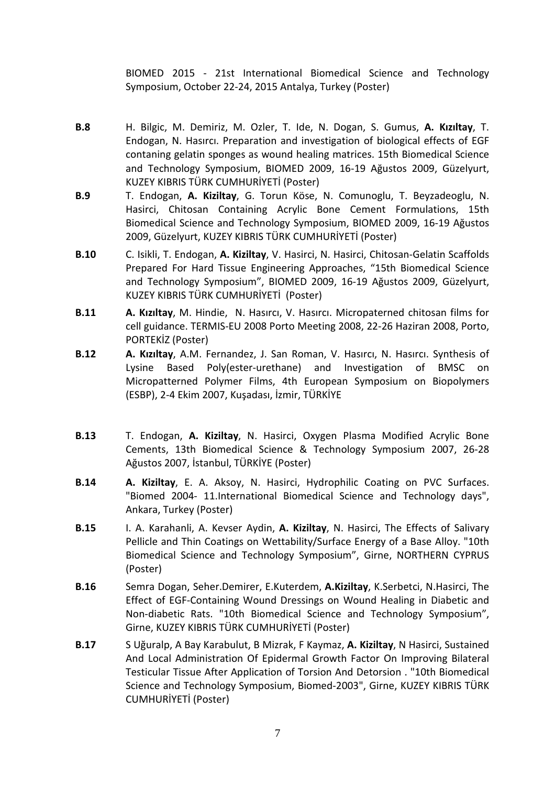BIOMED 2015 - 21st International Biomedical Science and Technology Symposium, October 22-24, 2015 Antalya, Turkey (Poster)

- **B.8** H. Bilgic, M. Demiriz, M. Ozler, T. Ide, N. Dogan, S. Gumus, **A. Kızıltay**, T. Endogan, N. Hasırcı. Preparation and investigation of biological effects of EGF contaning gelatin sponges as wound healing matrices. 15th Biomedical Science and Technology Symposium, BIOMED 2009, 16-19 Ağustos 2009, Güzelyurt, KUZEY KIBRIS TÜRK CUMHURİYETİ (Poster)
- **B.9** T. Endogan, **A. Kiziltay**, G. Torun Köse, N. Comunoglu, T. Beyzadeoglu, N. Hasirci, Chitosan Containing Acrylic Bone Cement Formulations, 15th Biomedical Science and Technology Symposium, BIOMED 2009, 16-19 Ağustos 2009, Güzelyurt, KUZEY KIBRIS TÜRK CUMHURİYETİ (Poster)
- **B.10** C. Isikli, T. Endogan, **A. Kiziltay**, V. Hasirci, N. Hasirci, Chitosan-Gelatin Scaffolds Prepared For Hard Tissue Engineering Approaches, "15th Biomedical Science and Technology Symposium", BIOMED 2009, 16-19 Ağustos 2009, Güzelyurt, KUZEY KIBRIS TÜRK CUMHURİYETİ(Poster)
- **B.11 A. Kızıltay**, M. Hindie, N. Hasırcı, V. Hasırcı. Micropaterned chitosan films for cell guidance. TERMIS-EU 2008 Porto Meeting 2008, 22-26 Haziran 2008, Porto, PORTEKİZ (Poster)
- **B.12 A. Kızıltay**, A.M. Fernandez, J. San Roman, V. Hasırcı, N. Hasırcı. Synthesis of Lysine Based Poly(ester-urethane) and Investigation of BMSC on Micropatterned Polymer Films, 4th European Symposium on Biopolymers (ESBP), 2-4 Ekim 2007, Kuşadası, İzmir, TÜRKİYE
- **B.13** T. Endogan, **A. Kiziltay**, N. Hasirci, Oxygen Plasma Modified Acrylic Bone Cements, 13th Biomedical Science & Technology Symposium 2007, 26-28 Ağustos 2007, İstanbul, TÜRKİYE (Poster)
- **B.14 A. Kiziltay**, E. A. Aksoy, N. Hasirci, Hydrophilic Coating on PVC Surfaces. "Biomed 2004- 11.International Biomedical Science and Technology days", Ankara, Turkey (Poster)
- **B.15** I. A. Karahanli, A. Kevser Aydin, **A. Kiziltay**, N. Hasirci, The Effects of Salivary Pellicle and Thin Coatings on Wettability/Surface Energy of a Base Alloy. "10th Biomedical Science and Technology Symposium", Girne, NORTHERN CYPRUS (Poster)
- **B.16** Semra Dogan, Seher.Demirer, E.Kuterdem, **A.Kiziltay**, K.Serbetci, N.Hasirci, The Effect of EGF-Containing Wound Dressings on Wound Healing in Diabetic and Non-diabetic Rats. "10th Biomedical Science and Technology Symposium", Girne, KUZEY KIBRIS TÜRK CUMHURİYETİ (Poster)
- **B.17** S Uğuralp, A Bay Karabulut, B Mizrak, F Kaymaz, **A. Kiziltay**, N Hasirci, Sustained And Local Administration Of Epidermal Growth Factor On Improving Bilateral Testicular Tissue After Application of Torsion And Detorsion . "10th Biomedical Science and Technology Symposium, Biomed-2003", Girne, KUZEY KIBRIS TÜRK CUMHURİYETİ (Poster)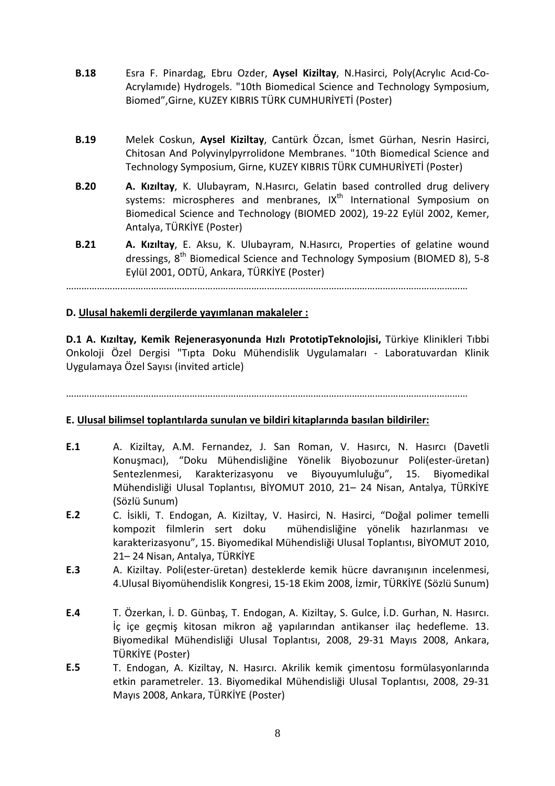- **B.18** Esra F. Pinardag, Ebru Ozder, **Aysel Kiziltay**, N.Hasirci, Poly(Acrylıc Acıd-Co-Acrylamıde) Hydrogels. "10th Biomedical Science and Technology Symposium, Biomed",Girne, KUZEY KIBRIS TÜRK CUMHURİYETİ (Poster)
- **B.19** Melek Coskun, **Aysel Kiziltay**, Cantürk Özcan, İsmet Gürhan, Nesrin Hasirci, Chitosan And Polyvinylpyrrolidone Membranes. "10th Biomedical Science and Technology Symposium, Girne, KUZEY KIBRIS TÜRK CUMHURİYETİ (Poster)
- **B.20 A. Kızıltay**, K. Ulubayram, N.Hasırcı, Gelatin based controlled drug delivery systems: microspheres and menbranes, IX<sup>th</sup> International Symposium on Biomedical Science and Technology (BIOMED 2002), 19-22 Eylül 2002, Kemer, Antalya, TÜRKİYE (Poster)
- **B.21 A. Kızıltay**, E. Aksu, K. Ulubayram, N.Hasırcı, Properties of gelatine wound dressings,  $8^{th}$  Biomedical Science and Technology Symposium (BIOMED 8), 5-8 Eylül 2001, ODTÜ, Ankara, TÜRKİYE (Poster)

…………………………………………………………………………………………………………………………………………

### **D. Ulusal hakemli dergilerde yayımlanan makaleler :**

**D.1 A. Kızıltay, Kemik Rejenerasyonunda Hızlı PrototipTeknolojisi,** Türkiye Klinikleri Tıbbi Onkoloji Özel Dergisi "Tıpta Doku Mühendislik Uygulamaları - Laboratuvardan Klinik Uygulamaya Özel Sayısı (invited article)

…………………………………………………………………………………………………………………………………………

# **E. Ulusal bilimsel toplantılarda sunulan ve bildiri kitaplarında basılan bildiriler:**

- **E.1** A. Kiziltay, A.M. Fernandez, J. San Roman, V. Hasırcı, N. Hasırcı (Davetli Konuşmacı), "Doku Mühendisliğine Yönelik Biyobozunur Poli(ester-üretan) Sentezlenmesi, Karakterizasyonu ve Biyouyumluluğu", 15. Biyomedikal Mühendisliği Ulusal Toplantısı, BİYOMUT 2010, 21– 24 Nisan, Antalya, TÜRKİYE (Sözlü Sunum)
- E.2 C. İsikli, T. Endogan, A. Kiziltay, V. Hasirci, N. Hasirci, "Doğal polimer temelli kompozit filmlerin sert doku mühendisliğine yönelik hazırlanması ve karakterizasyonu", 15. Biyomedikal Mühendisliği Ulusal Toplantısı, BİYOMUT 2010, 21– 24 Nisan, Antalya, TÜRKİYE
- **E.3** A. Kiziltay. Poli(ester-üretan) desteklerde kemik hücre davranışının incelenmesi, 4.Ulusal Biyomühendislik Kongresi, 15-18 Ekim 2008, İzmir, TÜRKİYE (Sözlü Sunum)
- **E.4** T. Özerkan, İ. D. Günbaş, T. Endogan, A. Kiziltay, S. Gulce, İ.D. Gurhan, N. Hasırcı. İç içe geçmiş kitosan mikron ağ yapılarından antikanser ilaç hedefleme. 13. Biyomedikal Mühendisliği Ulusal Toplantısı, 2008, 29-31 Mayıs 2008, Ankara, TÜRKİYE (Poster)
- **E.5** T. Endogan, A. Kiziltay, N. Hasırcı. Akrilik kemik çimentosu formülasyonlarında etkin parametreler. 13. Biyomedikal Mühendisliği Ulusal Toplantısı, 2008, 29-31 Mayıs 2008, Ankara, TÜRKİYE (Poster)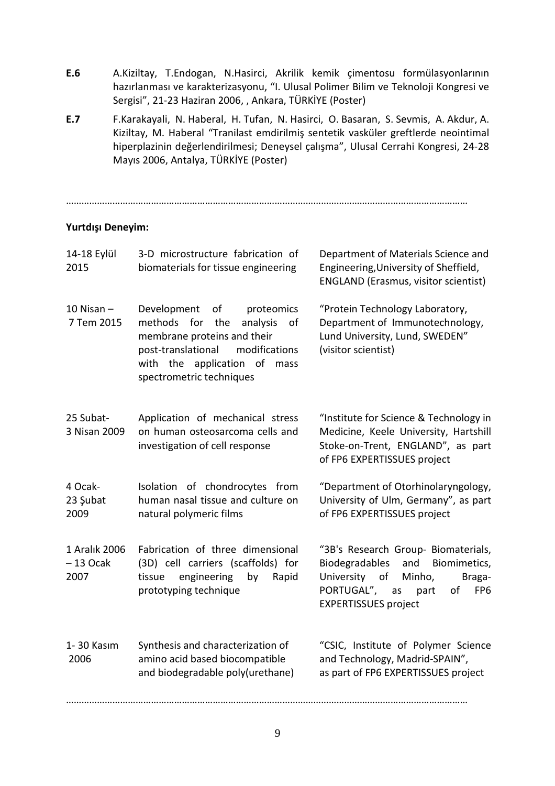- **E.6** A.Kiziltay, T.Endogan, N.Hasirci, Akrilik kemik çimentosu formülasyonlarının hazırlanması ve karakterizasyonu, "I. Ulusal Polimer Bilim ve Teknoloji Kongresi ve Sergisi", 21-23 Haziran 2006, , Ankara, TÜRKİYE (Poster)
- **E.7** F.Karakayali, N. Haberal, H. Tufan, N. Hasirci, O. Basaran, S. Sevmis, A. Akdur, A. Kiziltay, M. Haberal "Tranilast emdirilmiş sentetik vasküler greftlerde neointimal hiperplazinin değerlendirilmesi; Deneysel çalışma", Ulusal Cerrahi Kongresi, 24-28 Mayıs 2006, Antalya, TÜRKİYE (Poster)

…………………………………………………………………………………………………………………………………………

### **Yurtdışı Deneyim:**

| 14-18 Eylül<br>2015                 | 3-D microstructure fabrication of<br>biomaterials for tissue engineering                                                                                                                               | Department of Materials Science and<br>Engineering, University of Sheffield,<br><b>ENGLAND (Erasmus, visitor scientist)</b>                                                                     |
|-------------------------------------|--------------------------------------------------------------------------------------------------------------------------------------------------------------------------------------------------------|-------------------------------------------------------------------------------------------------------------------------------------------------------------------------------------------------|
| $10$ Nisan $-$<br>7 Tem 2015        | Development<br>of proteomics<br>methods for the<br>analysis<br>of<br>membrane proteins and their<br>post-translational<br>modifications<br>with the application of<br>mass<br>spectrometric techniques | "Protein Technology Laboratory,<br>Department of Immunotechnology,<br>Lund University, Lund, SWEDEN"<br>(visitor scientist)                                                                     |
| 25 Subat-<br>3 Nisan 2009           | Application of mechanical stress<br>on human osteosarcoma cells and<br>investigation of cell response                                                                                                  | "Institute for Science & Technology in<br>Medicine, Keele University, Hartshill<br>Stoke-on-Trent, ENGLAND", as part<br>of FP6 EXPERTISSUES project                                             |
| 4 Ocak-<br>23 Şubat<br>2009         | Isolation of chondrocytes from<br>human nasal tissue and culture on<br>natural polymeric films                                                                                                         | "Department of Otorhinolaryngology,<br>University of Ulm, Germany", as part<br>of FP6 EXPERTISSUES project                                                                                      |
| 1 Aralık 2006<br>$-13$ Ocak<br>2007 | Fabrication of three dimensional<br>(3D) cell carriers (scaffolds) for<br>engineering<br>Rapid<br>tissue<br>by<br>prototyping technique                                                                | "3B's Research Group- Biomaterials,<br>Biodegradables and<br>Biomimetics,<br>University of<br>Minho,<br>Braga-<br>PORTUGAL", as<br>part<br>FP <sub>6</sub><br>of<br><b>EXPERTISSUES</b> project |
| 1-30 Kasım<br>2006                  | Synthesis and characterization of<br>amino acid based biocompatible<br>and biodegradable poly(urethane)                                                                                                | "CSIC, Institute of Polymer Science<br>and Technology, Madrid-SPAIN",<br>as part of FP6 EXPERTISSUES project                                                                                    |